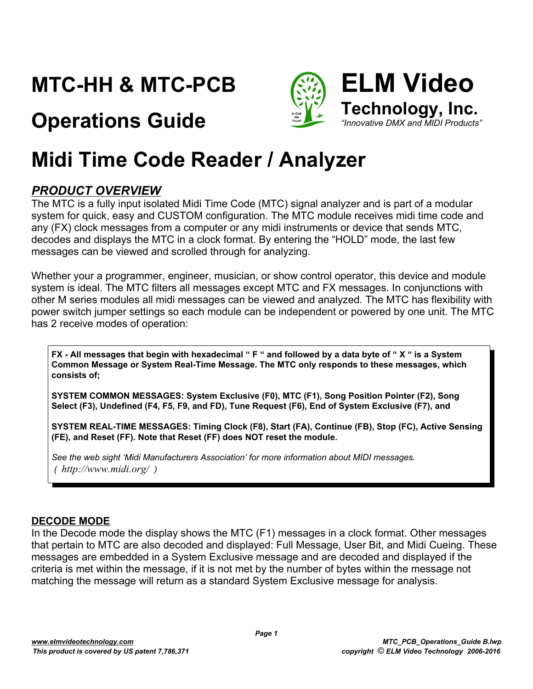# **MTC-HH & MTC-PCB**

# **Operations Guide**



# **Midi Time Code Reader / Analyzer**

#### *PRODUCT OVERVIEW*

The MTC is a fully input isolated Midi Time Code (MTC) signal analyzer and is part of a modular system for quick, easy and CUSTOM configuration. The MTC module receives midi time code and any (FX) clock messages from a computer or any midi instruments or device that sends MTC, decodes and displays the MTC in a clock format. By entering the "HOLD" mode, the last few messages can be viewed and scrolled through for analyzing.

Whether your a programmer, engineer, musician, or show control operator, this device and module system is ideal. The MTC filters all messages except MTC and FX messages. In conjunctions with other M series modules all midi messages can be viewed and analyzed. The MTC has flexibility with power switch jumper settings so each module can be independent or powered by one unit. The MTC has 2 receive modes of operation:

**FX - All messages that begin with hexadecimal " F " and followed by a data byte of " X " is a System Common Message or System Real-Time Message. The MTC only responds to these messages, which consists of;**

**SYSTEM COMMON MESSAGES: System Exclusive (F0), MTC (F1), Song Position Pointer (F2), Song Select (F3), Undefined (F4, F5, F9, and FD), Tune Request (F6), End of System Exclusive (F7), and** 

**SYSTEM REAL-TIME MESSAGES: Timing Clock (F8), Start (FA), Continue (FB), Stop (FC), Active Sensing (FE), and Reset (FF). Note that Reset (FF) does NOT reset the module.**

*See the web sight 'Midi Manufacturers Association' for more information about MIDI messages. ( http://www.midi.org/ )*

#### **DECODE MODE**

In the Decode mode the display shows the MTC (F1) messages in a clock format. Other messages that pertain to MTC are also decoded and displayed: Full Message, User Bit, and Midi Cueing. These messages are embedded in a System Exclusive message and are decoded and displayed if the criteria is met within the message, if it is not met by the number of bytes within the message not matching the message will return as a standard System Exclusive message for analysis.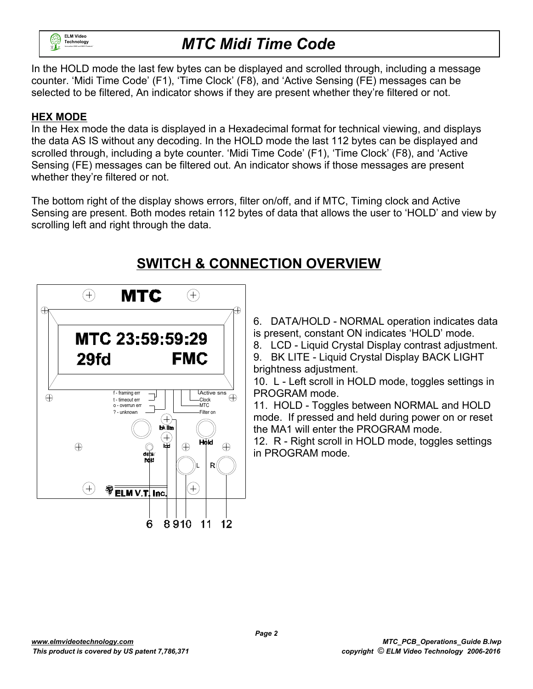

In the HOLD mode the last few bytes can be displayed and scrolled through, including a message counter. 'Midi Time Code' (F1), 'Time Clock' (F8), and 'Active Sensing (FE) messages can be selected to be filtered, An indicator shows if they are present whether they're filtered or not.

#### **HEX MODE**

In the Hex mode the data is displayed in a Hexadecimal format for technical viewing, and displays the data AS IS without any decoding. In the HOLD mode the last 112 bytes can be displayed and scrolled through, including a byte counter. 'Midi Time Code' (F1), 'Time Clock' (F8), and 'Active Sensing (FE) messages can be filtered out. An indicator shows if those messages are present whether they're filtered or not.

The bottom right of the display shows errors, filter on/off, and if MTC, Timing clock and Active Sensing are present. Both modes retain 112 bytes of data that allows the user to 'HOLD' and view by scrolling left and right through the data.

#### **SWITCH & CONNECTION OVERVIEW**



6. DATA/HOLD - NORMAL operation indicates data is present, constant ON indicates 'HOLD' mode.

8. LCD - Liquid Crystal Display contrast adjustment.

9. BK LITE - Liquid Crystal Display BACK LIGHT brightness adjustment.

10. L - Left scroll in HOLD mode, toggles settings in PROGRAM mode.

11. HOLD - Toggles between NORMAL and HOLD mode. If pressed and held during power on or reset the MA1 will enter the PROGRAM mode.

12. R - Right scroll in HOLD mode, toggles settings in PROGRAM mode.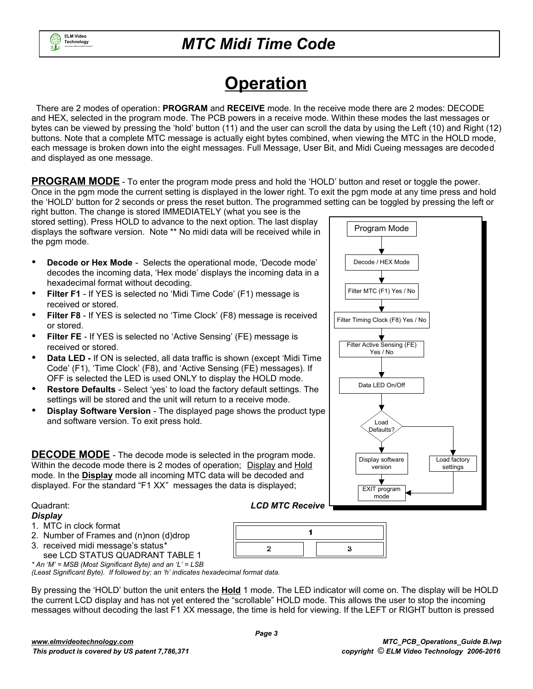

# **Operation**

 There are 2 modes of operation: **PROGRAM** and **RECEIVE** mode. In the receive mode there are 2 modes: DECODE and HEX, selected in the program mode. The PCB powers in a receive mode. Within these modes the last messages or bytes can be viewed by pressing the 'hold' button (11) and the user can scroll the data by using the Left (10) and Right (12) buttons. Note that a complete MTC message is actually eight bytes combined, when viewing the MTC in the HOLD mode, each message is broken down into the eight messages. Full Message, User Bit, and Midi Cueing messages are decoded and displayed as one message.

**PROGRAM MODE** - To enter the program mode press and hold the 'HOLD' button and reset or toggle the power. Once in the pgm mode the current setting is displayed in the lower right. To exit the pgm mode at any time press and hold the 'HOLD' button for 2 seconds or press the reset button. The programmed setting can be toggled by pressing the left or

right button. The change is stored IMMEDIATELY (what you see is the stored setting). Press HOLD to advance to the next option. The last display displays the software version. Note \*\* No midi data will be received while in the pgm mode.

- **Decode or Hex Mode** Selects the operational mode, 'Decode mode' decodes the incoming data, 'Hex mode' displays the incoming data in a hexadecimal format without decoding.
- **Filter F1**  If YES is selected no 'Midi Time Code' (F1) message is received or stored.
- **Filter F8** If YES is selected no 'Time Clock' (F8) message is received or stored.
- **Filter FE** If YES is selected no 'Active Sensing' (FE) message is received or stored.
- **Data LED** If ON is selected, all data traffic is shown (except 'Midi Time Code' (F1), 'Time Clock' (F8), and 'Active Sensing (FE) messages). If OFF is selected the LED is used ONLY to display the HOLD mode.
- **Restore Defaults** Select 'yes' to load the factory default settings. The settings will be stored and the unit will return to a receive mode.
- **Display Software Version** The displayed page shows the product type and software version. To exit press hold.

**DECODE MODE** - The decode mode is selected in the program mode. Within the decode mode there is 2 modes of operation; Display and Hold mode. In the **Display** mode all incoming MTC data will be decoded and displayed. For the standard "F1 XX" messages the data is displayed;

#### Quadrant: *LCD MTC Receive*

#### *Display*

- 1. MTC in clock format
- 2. Number of Frames and (n)non (d)drop
- 3. received midi message's status\*
- see LCD STATUS QUADRANT TABLE 1 *\* An 'M' = MSB (Most Significant Byte) and an 'L' = LSB*

*(Least Significant Byte). If followed by; an 'h' indicates hexadecimal format data.*

By pressing the 'HOLD' button the unit enters the **Hold** 1 mode. The LED indicator will come on. The display will be HOLD the current LCD display and has not yet entered the "scrollable" HOLD mode. This allows the user to stop the incoming messages without decoding the last F1 XX message, the time is held for viewing. If the LEFT or RIGHT button is pressed

 $\overline{2}$ 

 $\blacksquare$ 

3

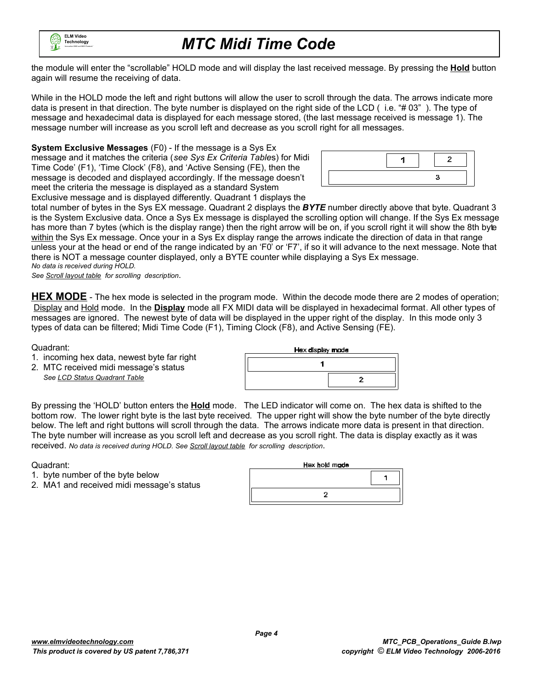

the module will enter the "scrollable" HOLD mode and will display the last received message. By pressing the **Hold** button again will resume the receiving of data.

While in the HOLD mode the left and right buttons will allow the user to scroll through the data. The arrows indicate more data is present in that direction. The byte number is displayed on the right side of the LCD ( i.e. "# 03" ). The type of message and hexadecimal data is displayed for each message stored, (the last message received is message 1). The message number will increase as you scroll left and decrease as you scroll right for all messages.

**System Exclusive Messages** (F0) - If the message is a Sys Ex message and it matches the criteria (*see Sys Ex Criteria Table*s) for Midi Time Code' (F1), 'Time Clock' (F8), and 'Active Sensing (FE), then the message is decoded and displayed accordingly. If the message doesn't meet the criteria the message is displayed as a standard System Exclusive message and is displayed differently. Quadrant 1 displays the



total number of bytes in the Sys EX message. Quadrant 2 displays the *BYTE* number directly above that byte. Quadrant 3 is the System Exclusive data. Once a Sys Ex message is displayed the scrolling option will change. If the Sys Ex message has more than 7 bytes (which is the display range) then the right arrow will be on, if you scroll right it will show the 8th byte within the Sys Ex message. Once your in a Sys Ex display range the arrows indicate the direction of data in that range unless your at the head or end of the range indicated by an 'F0' or 'F7', if so it will advance to the next message. Note that there is NOT a message counter displayed, only a BYTE counter while displaying a Sys Ex message. *No data is received during HOLD.* 

*See Scroll layout table for scrolling description*.

**HEX MODE** - The hex mode is selected in the program mode. Within the decode mode there are 2 modes of operation; Display and Hold mode. In the **Display** mode all FX MIDI data will be displayed in hexadecimal format. All other types of messages are ignored. The newest byte of data will be displayed in the upper right of the display. In this mode only 3 types of data can be filtered; Midi Time Code (F1), Timing Clock (F8), and Active Sensing (FE).

Quadrant:

- 1. incoming hex data, newest byte far right
- 2. MTC received midi message's status *See LCD Status Quadrant Table*

| Hex display mode |
|------------------|
|                  |
|                  |

By pressing the 'HOLD' button enters the **Hold** mode. The LED indicator will come on. The hex data is shifted to the bottom row. The lower right byte is the last byte received. The upper right will show the byte number of the byte directly below. The left and right buttons will scroll through the data. The arrows indicate more data is present in that direction. The byte number will increase as you scroll left and decrease as you scroll right. The data is display exactly as it was received. *No data is received during HOLD. See Scroll layout table for scrolling description*.

Quadrant:

- 1. byte number of the byte below
- 2. MA1 and received midi message's status

| Hex hold made |  |
|---------------|--|
|               |  |
|               |  |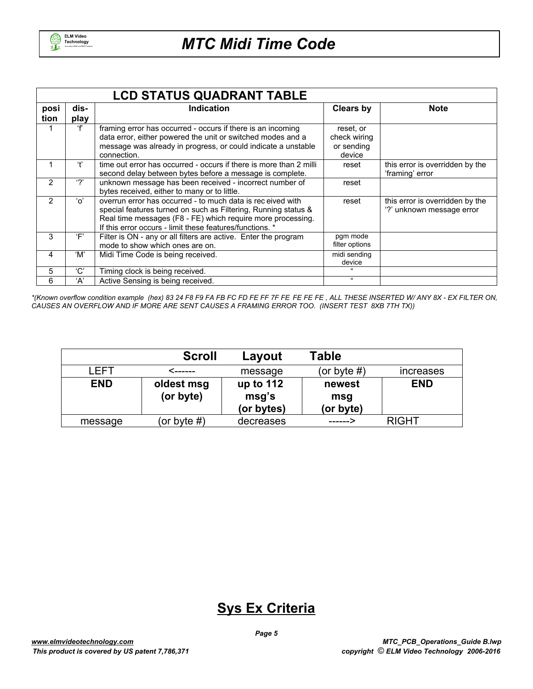

|      | <b>LCD STATUS QUADRANT TABLE</b> |                                                                                                                                                                                                                                                         |                                                   |                                                              |  |  |  |  |  |
|------|----------------------------------|---------------------------------------------------------------------------------------------------------------------------------------------------------------------------------------------------------------------------------------------------------|---------------------------------------------------|--------------------------------------------------------------|--|--|--|--|--|
| posi | dis-                             | <b>Indication</b>                                                                                                                                                                                                                                       | <b>Clears by</b>                                  | <b>Note</b>                                                  |  |  |  |  |  |
| tion | play                             |                                                                                                                                                                                                                                                         |                                                   |                                                              |  |  |  |  |  |
|      |                                  | framing error has occurred - occurs if there is an incoming<br>data error, either powered the unit or switched modes and a<br>message was already in progress, or could indicate a unstable<br>connection.                                              | reset, or<br>check wiring<br>or sending<br>device |                                                              |  |  |  |  |  |
| 1    | 4,                               | time out error has occurred - occurs if there is more than 2 milli<br>second delay between bytes before a message is complete.                                                                                                                          | reset                                             | this error is overridden by the<br>'framing' error           |  |  |  |  |  |
| 2    | ۰?'                              | unknown message has been received - incorrect number of<br>bytes received, either to many or to little.                                                                                                                                                 | reset                                             |                                                              |  |  |  |  |  |
| 2    | 'o'                              | overrun error has occurred - to much data is received with<br>special features turned on such as Filtering, Running status &<br>Real time messages (F8 - FE) which require more processing.<br>If this error occurs - limit these features/functions. * | reset                                             | this error is overridden by the<br>'?' unknown message error |  |  |  |  |  |
| 3    | Έ'                               | Filter is ON - any or all filters are active. Enter the program<br>mode to show which ones are on.                                                                                                                                                      | pqm mode<br>filter options                        |                                                              |  |  |  |  |  |
| 4    | 'M'                              | Midi Time Code is being received.                                                                                                                                                                                                                       | midi sending<br>device                            |                                                              |  |  |  |  |  |
| 5    | 'C'                              | Timing clock is being received.                                                                                                                                                                                                                         |                                                   |                                                              |  |  |  |  |  |
| 6    | ʻA'                              | Active Sensing is being received.                                                                                                                                                                                                                       | $\alpha$                                          |                                                              |  |  |  |  |  |

*\*(Known overflow condition example (hex) 83 24 F8 F9 FA FB FC FD FE FF 7F FE FE FE FE , ALL THESE INSERTED W/ ANY 8X - EX FILTER ON, CAUSES AN OVERFLOW AND IF MORE ARE SENT CAUSES A FRAMING ERROR TOO. (INSERT TEST 8XB 7TH TX))*

|            | <b>Scroll</b>           | Layout                           | Table                      |                  |
|------------|-------------------------|----------------------------------|----------------------------|------------------|
| LEFT       | <------                 | message                          | (or byte $#$ )             | <b>Increases</b> |
| <b>END</b> | oldest msg<br>(or byte) | up to 112<br>msg's<br>(or bytes) | newest<br>msg<br>(or byte) | <b>END</b>       |
| message    | (or byte $#$ )          | decreases                        | ------->                   | <b>RIGHT</b>     |

#### **Sys Ex Criteria**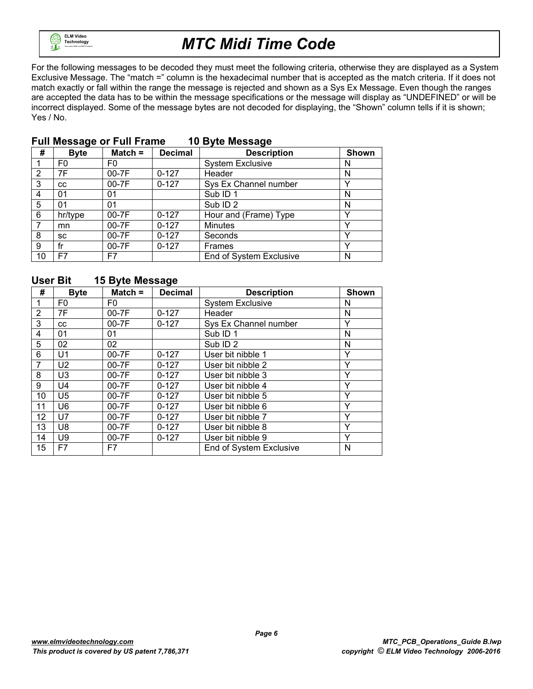

For the following messages to be decoded they must meet the following criteria, otherwise they are displayed as a System Exclusive Message. The "match =" column is the hexadecimal number that is accepted as the match criteria. If it does not match exactly or fall within the range the message is rejected and shown as a Sys Ex Message. Even though the ranges are accepted the data has to be within the message specifications or the message will display as "UNDEFINED" or will be incorrect displayed. Some of the message bytes are not decoded for displaying, the "Shown" column tells if it is shown; Yes / No.

| #  | ÷<br><b>Byte</b> | Match $=$ | <b>Decimal</b> | ◡<br><b>Description</b> | <b>Shown</b> |
|----|------------------|-----------|----------------|-------------------------|--------------|
|    | F0               | F0        |                | <b>System Exclusive</b> | N            |
| 2  | 7F               | 00-7F     | $0 - 127$      | Header                  | N            |
| 3  | CC               | 00-7F     | $0 - 127$      | Sys Ex Channel number   |              |
| 4  | 01               | 01        |                | Sub ID <sub>1</sub>     | N            |
| 5  | 01               | 01        |                | Sub ID <sub>2</sub>     | N            |
| 6  | hr/type          | $00-7F$   | $0 - 127$      | Hour and (Frame) Type   |              |
|    | mn               | 00-7F     | $0 - 127$      | <b>Minutes</b>          | $\checkmark$ |
| 8  | SC               | $00-7F$   | $0 - 127$      | Seconds                 |              |
| 9  | fr               | $00-7F$   | $0 - 127$      | Frames                  |              |
| 10 | F7               | F7        |                | End of System Exclusive | N            |

#### **Full Message or Full Frame 10 Byte Message**

#### **User Bit 15 Byte Message**

| #              | <b>Byte</b>    | Match $=$      | <b>Decimal</b> | <b>Description</b>      | Shown |
|----------------|----------------|----------------|----------------|-------------------------|-------|
|                | F0             | F <sub>0</sub> |                | <b>System Exclusive</b> | N     |
| $\overline{2}$ | 7F             | 00-7F          | $0 - 127$      | Header                  | N     |
| 3              | <b>CC</b>      | 00-7F          | $0 - 127$      | Sys Ex Channel number   | Y     |
| 4              | 01             | 01             |                | Sub ID <sub>1</sub>     | N     |
| 5              | 02             | 02             |                | Sub ID <sub>2</sub>     | N     |
| 6              | U1             | 00-7F          | $0 - 127$      | User bit nibble 1       | Y     |
| 7              | U <sub>2</sub> | 00-7F          | $0 - 127$      | User bit nibble 2       | Y     |
| 8              | U <sub>3</sub> | 00-7F          | $0 - 127$      | User bit nibble 3       | Y     |
| 9              | U <sub>4</sub> | 00-7F          | $0 - 127$      | User bit nibble 4       | Y     |
| 10             | U <sub>5</sub> | 00-7F          | $0 - 127$      | User bit nibble 5       | Y     |
| 11             | U6             | 00-7F          | $0 - 127$      | User bit nibble 6       | Y     |
| 12             | U7             | $00-7F$        | $0 - 127$      | User bit nibble 7       | Y     |
| 13             | U8             | $00-7F$        | $0 - 127$      | User bit nibble 8       | Y     |
| 14             | U9             | $00-7F$        | $0 - 127$      | User bit nibble 9       | Y     |
| 15             | F7             | F7             |                | End of System Exclusive | N     |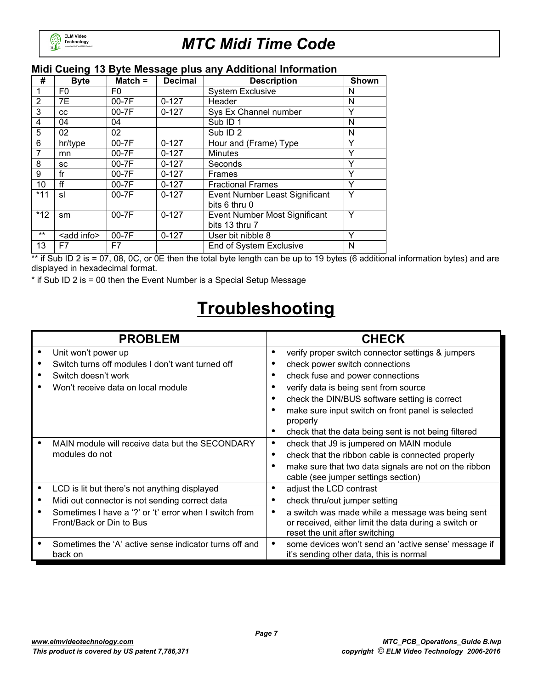

#### **Midi Cueing 13 Byte Message plus any Additional Information**

| #              | <b>Byte</b>         | $Match =$ | <b>Decimal</b> | <b>Description</b>                              | <b>Shown</b> |
|----------------|---------------------|-----------|----------------|-------------------------------------------------|--------------|
|                | F0                  | F0        |                | <b>System Exclusive</b>                         | N            |
| $\overline{2}$ | 7E                  | $00-7F$   | $0 - 127$      | Header                                          | N            |
| 3              | CC                  | $00-7F$   | $0 - 127$      | Sys Ex Channel number                           | Υ            |
| 4              | 04                  | 04        |                | Sub ID <sub>1</sub>                             | N            |
| 5              | 02                  | 02        |                | Sub ID <sub>2</sub>                             | N            |
| 6              | hr/type             | 00-7F     | $0 - 127$      | Hour and (Frame) Type                           | Y            |
|                | mn                  | $00-7F$   | $0 - 127$      | <b>Minutes</b>                                  | Υ            |
| 8              | SC                  | $00-7F$   | $0 - 127$      | Seconds                                         | $\checkmark$ |
| 9              | fr                  | $00-7F$   | $0 - 127$      | <b>Frames</b>                                   | Y            |
| 10             | ff                  | $00-7F$   | $0 - 127$      | <b>Fractional Frames</b>                        | Y            |
| $*11$          | sl                  | $00-7F$   | $0 - 127$      | Event Number Least Significant<br>bits 6 thru 0 | Y            |
| $*12$          | sm                  | 00-7F     | $0 - 127$      | Event Number Most Significant<br>bits 13 thru 7 | Y            |
| $***$          | <add info=""></add> | 00-7F     | $0 - 127$      | User bit nibble 8                               | Y            |
| 13             | F7                  | F7        |                | End of System Exclusive                         | N            |

\*\* if Sub ID 2 is = 07, 08, 0C, or 0E then the total byte length can be up to 19 bytes (6 additional information bytes) and are displayed in hexadecimal format.

\* if Sub ID 2 is = 00 then the Event Number is a Special Setup Message

## **Troubleshooting**

|   | <b>PROBLEM</b>                                         |   | <b>CHECK</b>                                          |
|---|--------------------------------------------------------|---|-------------------------------------------------------|
|   | Unit won't power up                                    | ٠ | verify proper switch connector settings & jumpers     |
|   | Switch turns off modules I don't want turned off       |   | check power switch connections                        |
|   | Switch doesn't work                                    | ٠ | check fuse and power connections                      |
|   | Won't receive data on local module                     | ٠ | verify data is being sent from source                 |
|   |                                                        |   | check the DIN/BUS software setting is correct         |
|   |                                                        |   | make sure input switch on front panel is selected     |
|   |                                                        |   | properly                                              |
|   |                                                        |   | check that the data being sent is not being filtered  |
|   | MAIN module will receive data but the SECONDARY        | ٠ | check that J9 is jumpered on MAIN module              |
|   | modules do not                                         | ٠ | check that the ribbon cable is connected properly     |
|   |                                                        |   | make sure that two data signals are not on the ribbon |
|   |                                                        |   | cable (see jumper settings section)                   |
| ٠ | LCD is lit but there's not anything displayed          | ٠ | adjust the LCD contrast                               |
|   | Midi out connector is not sending correct data         | ٠ | check thru/out jumper setting                         |
|   | Sometimes I have a '?' or 't' error when I switch from | ٠ | a switch was made while a message was being sent      |
|   | Front/Back or Din to Bus                               |   | or received, either limit the data during a switch or |
|   |                                                        |   | reset the unit after switching                        |
|   | Sometimes the 'A' active sense indicator turns off and |   | some devices won't send an 'active sense' message if  |
|   | back on                                                |   | it's sending other data, this is normal               |